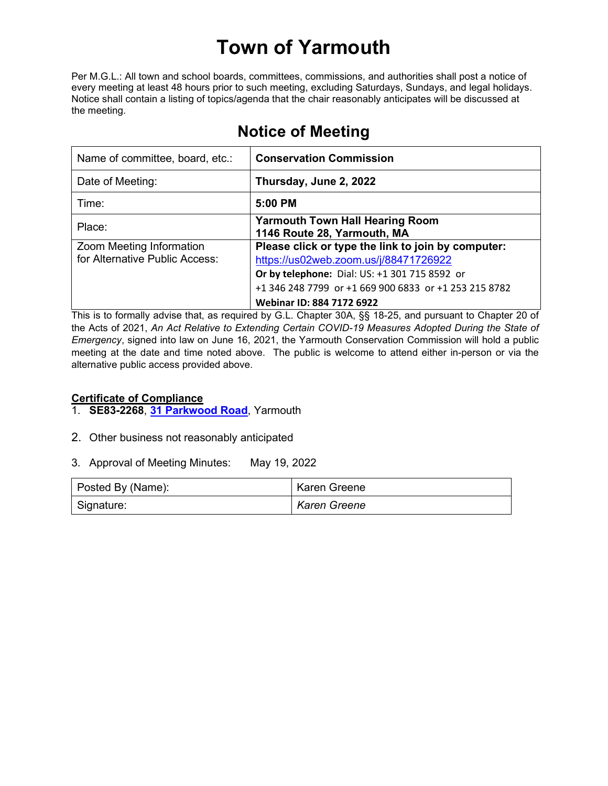# **Town of Yarmouth**

Per M.G.L.: All town and school boards, committees, commissions, and authorities shall post a notice of every meeting at least 48 hours prior to such meeting, excluding Saturdays, Sundays, and legal holidays. Notice shall contain a listing of topics/agenda that the chair reasonably anticipates will be discussed at the meeting.

| Name of committee, board, etc.:                            | <b>Conservation Commission</b>                                                                                                                                                                                                     |
|------------------------------------------------------------|------------------------------------------------------------------------------------------------------------------------------------------------------------------------------------------------------------------------------------|
| Date of Meeting:                                           | Thursday, June 2, 2022                                                                                                                                                                                                             |
| Time:                                                      | 5:00 PM                                                                                                                                                                                                                            |
| Place:                                                     | <b>Yarmouth Town Hall Hearing Room</b><br>1146 Route 28, Yarmouth, MA                                                                                                                                                              |
| Zoom Meeting Information<br>for Alternative Public Access: | Please click or type the link to join by computer:<br>https://us02web.zoom.us/j/88471726922<br>Or by telephone: Dial: US: +1 301 715 8592 or<br>+1 346 248 7799 or +1 669 900 6833 or +1 253 215 8782<br>Webinar ID: 884 7172 6922 |

## **Notice of Meeting**

This is to formally advise that, as required by G.L. Chapter 30A, §§ 18-25, and pursuant to Chapter 20 of the Acts of 2021, *An Act Relative to Extending Certain COVID-19 Measures Adopted During the State of Emergency*, signed into law on June 16, 2021, the Yarmouth Conservation Commission will hold a public meeting at the date and time noted above. The public is welcome to attend either in-person or via the alternative public access provided above.

#### **Certificate of Compliance**

- 1. **SE83-2268**, **[31 Parkwood Road](https://lf.yarmouth.ma.us/WebLink/Browse.aspx?id=1577148&dbid=0&repo=LASERFICHE)**, Yarmouth
- 2. Other business not reasonably anticipated
- 3. Approval of Meeting Minutes: May 19, 2022

| Posted By (Name): | <b>Karen Greene</b> |
|-------------------|---------------------|
| Signature:        | <b>Karen Greene</b> |